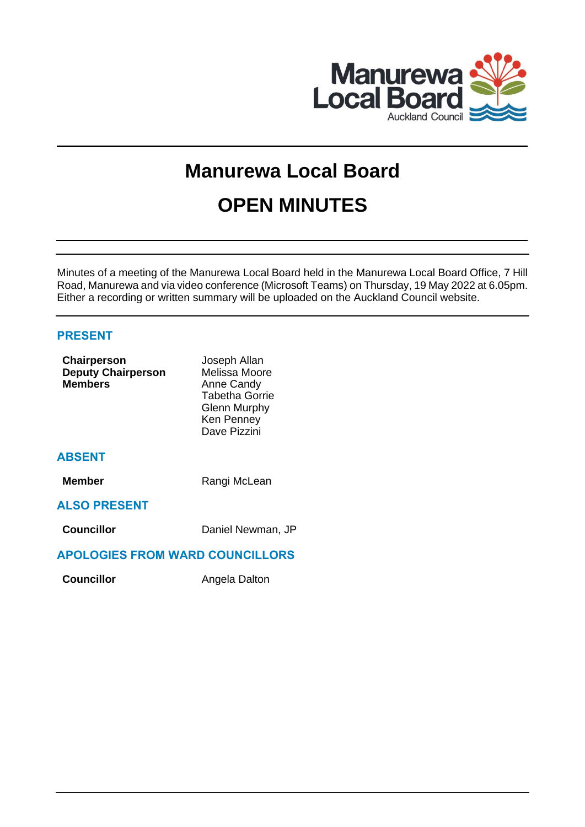

# **Manurewa Local Board OPEN MINUTES**

Minutes of a meeting of the Manurewa Local Board held in the Manurewa Local Board Office, 7 Hill Road, Manurewa and via video conference (Microsoft Teams) on Thursday, 19 May 2022 at 6.05pm. Either a recording or written summary will be uploaded on the Auckland Council website.

# **PRESENT**

| <b>Chairperson</b><br><b>Deputy Chairperson</b><br><b>Members</b> | Joseph Allan<br>Melissa Moore<br>Anne Candy<br><b>Tabetha Gorrie</b><br>Glenn Murphy<br>Ken Penney<br>Dave Pizzini |
|-------------------------------------------------------------------|--------------------------------------------------------------------------------------------------------------------|
| <b>ABSENT</b>                                                     |                                                                                                                    |
| <b>Member</b>                                                     | Rangi McLean                                                                                                       |
| <b>ALSO PRESENT</b>                                               |                                                                                                                    |
| <b>Councillor</b>                                                 | Daniel Newman, JP                                                                                                  |
| <b>APOLOGIES FROM WARD COUNCILLORS</b>                            |                                                                                                                    |

**Councillor Angela Dalton**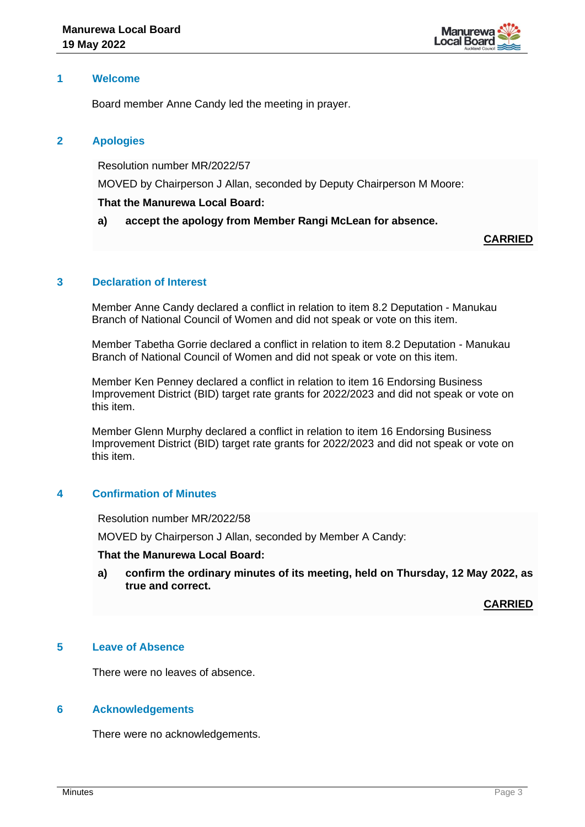

## **1 Welcome**

Board member Anne Candy led the meeting in prayer.

## **2 Apologies**

Resolution number MR/2022/57

MOVED by Chairperson J Allan, seconded by Deputy Chairperson M Moore:

#### **That the Manurewa Local Board:**

**a) accept the apology from Member Rangi McLean for absence.**

**CARRIED**

## **3 Declaration of Interest**

Member Anne Candy declared a conflict in relation to item 8.2 Deputation - Manukau Branch of National Council of Women and did not speak or vote on this item.

Member Tabetha Gorrie declared a conflict in relation to item 8.2 Deputation - Manukau Branch of National Council of Women and did not speak or vote on this item.

Member Ken Penney declared a conflict in relation to item 16 Endorsing Business Improvement District (BID) target rate grants for 2022/2023 and did not speak or vote on this item.

Member Glenn Murphy declared a conflict in relation to item 16 Endorsing Business Improvement District (BID) target rate grants for 2022/2023 and did not speak or vote on this item.

# **4 Confirmation of Minutes**

Resolution number MR/2022/58

MOVED by Chairperson J Allan, seconded by Member A Candy:

## **That the Manurewa Local Board:**

**a) confirm the ordinary minutes of its meeting, held on Thursday, 12 May 2022, as true and correct.**

**CARRIED**

## **5 Leave of Absence**

There were no leaves of absence.

#### **6 Acknowledgements**

There were no acknowledgements.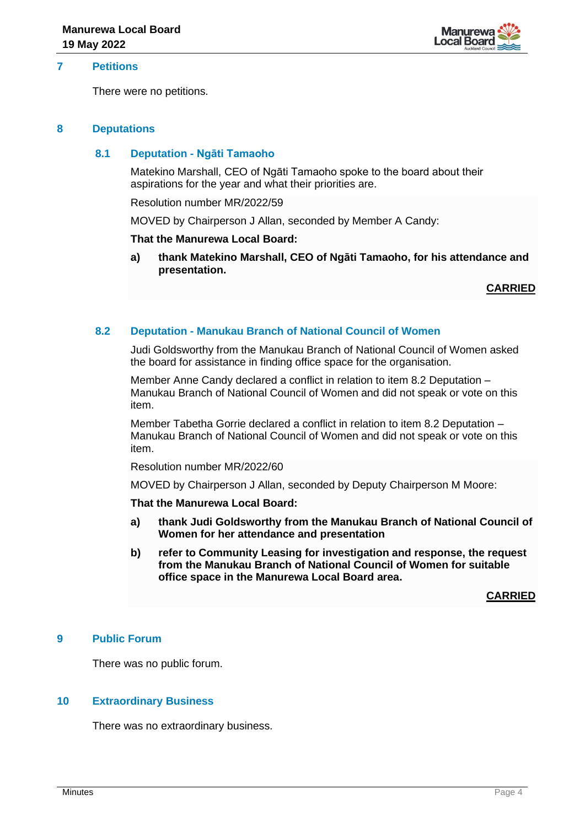

## **7 Petitions**

There were no petitions.

#### **8 Deputations**

#### **8.1 Deputation - Ngāti Tamaoho**

Matekino Marshall, CEO of Ngāti Tamaoho spoke to the board about their aspirations for the year and what their priorities are.

Resolution number MR/2022/59

MOVED by Chairperson J Allan, seconded by Member A Candy:

#### **That the Manurewa Local Board:**

**a) thank Matekino Marshall, CEO of Ngāti Tamaoho, for his attendance and presentation.**

**CARRIED**

#### **8.2 Deputation - Manukau Branch of National Council of Women**

Judi Goldsworthy from the Manukau Branch of National Council of Women asked the board for assistance in finding office space for the organisation.

Member Anne Candy declared a conflict in relation to item 8.2 Deputation – Manukau Branch of National Council of Women and did not speak or vote on this item.

Member Tabetha Gorrie declared a conflict in relation to item 8.2 Deputation – Manukau Branch of National Council of Women and did not speak or vote on this item.

Resolution number MR/2022/60

MOVED by Chairperson J Allan, seconded by Deputy Chairperson M Moore:

#### **That the Manurewa Local Board:**

- **a) thank Judi Goldsworthy from the Manukau Branch of National Council of Women for her attendance and presentation**
- **b) refer to Community Leasing for investigation and response, the request from the Manukau Branch of National Council of Women for suitable office space in the Manurewa Local Board area.**

**CARRIED**

## **9 Public Forum**

There was no public forum.

#### **10 Extraordinary Business**

There was no extraordinary business.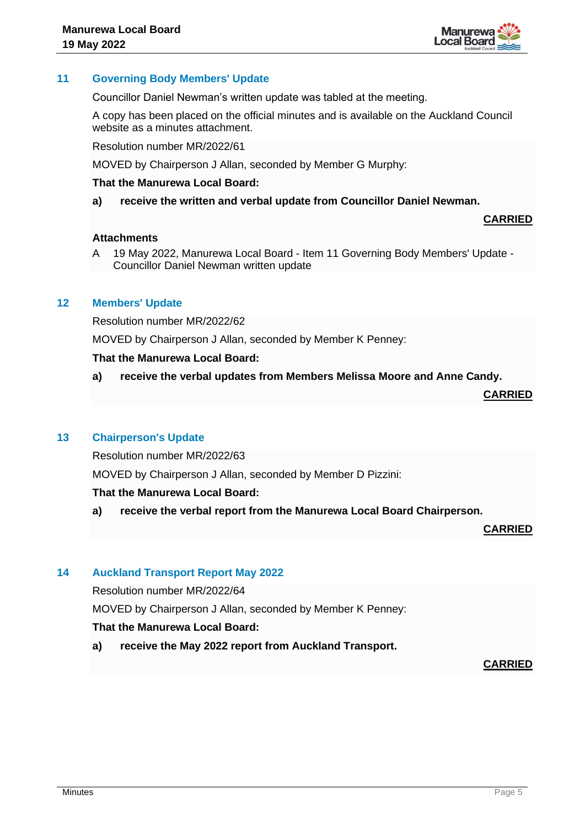

## **11 Governing Body Members' Update**

Councillor Daniel Newman's written update was tabled at the meeting.

A copy has been placed on the official minutes and is available on the Auckland Council website as a minutes attachment.

Resolution number MR/2022/61

MOVED by Chairperson J Allan, seconded by Member G Murphy:

#### **That the Manurewa Local Board:**

**a) receive the written and verbal update from Councillor Daniel Newman.**

#### **Attachments**

A 19 May 2022, Manurewa Local Board - Item 11 Governing Body Members' Update - Councillor Daniel Newman written update

#### **12 Members' Update**

Resolution number MR/2022/62

MOVED by Chairperson J Allan, seconded by Member K Penney:

#### **That the Manurewa Local Board:**

**a) receive the verbal updates from Members Melissa Moore and Anne Candy.** 

**CARRIED**

**CARRIED**

#### **13 Chairperson's Update**

Resolution number MR/2022/63

MOVED by Chairperson J Allan, seconded by Member D Pizzini:

#### **That the Manurewa Local Board:**

**a) receive the verbal report from the Manurewa Local Board Chairperson.**

**CARRIED**

#### **14 Auckland Transport Report May 2022**

Resolution number MR/2022/64

MOVED by Chairperson J Allan, seconded by Member K Penney:

#### **That the Manurewa Local Board:**

**a) receive the May 2022 report from Auckland Transport.**

### **CARRIED**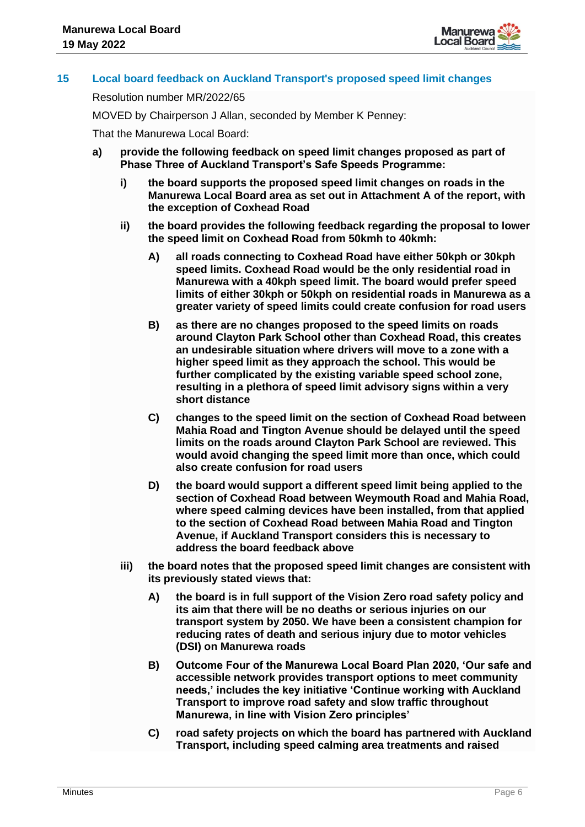

## **15 Local board feedback on Auckland Transport's proposed speed limit changes**

Resolution number MR/2022/65

MOVED by Chairperson J Allan, seconded by Member K Penney:

That the Manurewa Local Board:

- **a) provide the following feedback on speed limit changes proposed as part of Phase Three of Auckland Transport's Safe Speeds Programme:**
	- **i) the board supports the proposed speed limit changes on roads in the Manurewa Local Board area as set out in Attachment A of the report, with the exception of Coxhead Road**
	- **ii) the board provides the following feedback regarding the proposal to lower the speed limit on Coxhead Road from 50kmh to 40kmh:**
		- **A) all roads connecting to Coxhead Road have either 50kph or 30kph speed limits. Coxhead Road would be the only residential road in Manurewa with a 40kph speed limit. The board would prefer speed limits of either 30kph or 50kph on residential roads in Manurewa as a greater variety of speed limits could create confusion for road users**
		- **B) as there are no changes proposed to the speed limits on roads around Clayton Park School other than Coxhead Road, this creates an undesirable situation where drivers will move to a zone with a higher speed limit as they approach the school. This would be further complicated by the existing variable speed school zone, resulting in a plethora of speed limit advisory signs within a very short distance**
		- **C) changes to the speed limit on the section of Coxhead Road between Mahia Road and Tington Avenue should be delayed until the speed limits on the roads around Clayton Park School are reviewed. This would avoid changing the speed limit more than once, which could also create confusion for road users**
		- **D) the board would support a different speed limit being applied to the section of Coxhead Road between Weymouth Road and Mahia Road, where speed calming devices have been installed, from that applied to the section of Coxhead Road between Mahia Road and Tington Avenue, if Auckland Transport considers this is necessary to address the board feedback above**
	- **iii) the board notes that the proposed speed limit changes are consistent with its previously stated views that:** 
		- **A) the board is in full support of the Vision Zero road safety policy and its aim that there will be no deaths or serious injuries on our transport system by 2050. We have been a consistent champion for reducing rates of death and serious injury due to motor vehicles (DSI) on Manurewa roads**
		- **B) Outcome Four of the Manurewa Local Board Plan 2020, 'Our safe and accessible network provides transport options to meet community needs,' includes the key initiative 'Continue working with Auckland Transport to improve road safety and slow traffic throughout Manurewa, in line with Vision Zero principles'**
		- **C) road safety projects on which the board has partnered with Auckland Transport, including speed calming area treatments and raised**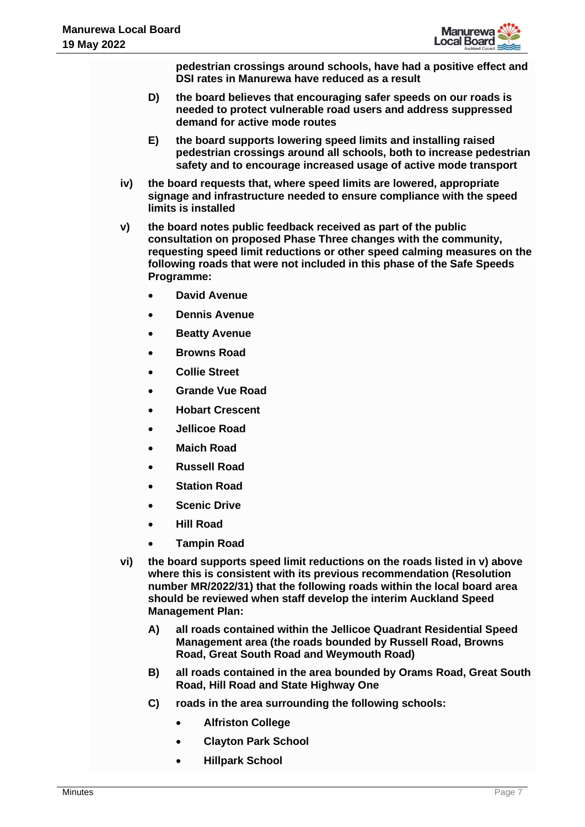

**pedestrian crossings around schools, have had a positive effect and DSI rates in Manurewa have reduced as a result** 

- **D) the board believes that encouraging safer speeds on our roads is needed to protect vulnerable road users and address suppressed demand for active mode routes**
- **E) the board supports lowering speed limits and installing raised pedestrian crossings around all schools, both to increase pedestrian safety and to encourage increased usage of active mode transport**
- **iv) the board requests that, where speed limits are lowered, appropriate signage and infrastructure needed to ensure compliance with the speed limits is installed**
- **v) the board notes public feedback received as part of the public consultation on proposed Phase Three changes with the community, requesting speed limit reductions or other speed calming measures on the following roads that were not included in this phase of the Safe Speeds Programme:** 
	- **David Avenue**
	- **Dennis Avenue**
	- **Beatty Avenue**
	- **Browns Road**
	- **Collie Street**
	- **Grande Vue Road**
	- **Hobart Crescent**
	- **Jellicoe Road**
	- **Maich Road**
	- **Russell Road**
	- **Station Road**
	- **Scenic Drive**
	- **Hill Road**
	- **Tampin Road**
- **vi) the board supports speed limit reductions on the roads listed in v) above where this is consistent with its previous recommendation (Resolution number MR/2022/31) that the following roads within the local board area should be reviewed when staff develop the interim Auckland Speed Management Plan:** 
	- **A) all roads contained within the Jellicoe Quadrant Residential Speed Management area (the roads bounded by Russell Road, Browns Road, Great South Road and Weymouth Road)**
	- **B) all roads contained in the area bounded by Orams Road, Great South Road, Hill Road and State Highway One**
	- **C) roads in the area surrounding the following schools:** 
		- **Alfriston College**
		- **Clayton Park School**
		- **Hillpark School**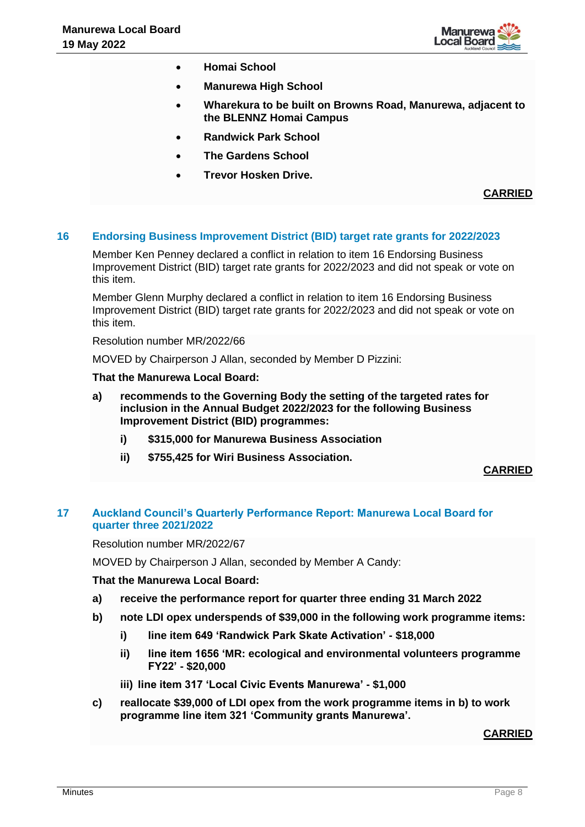

- **Homai School**
- **Manurewa High School**
- **Wharekura to be built on Browns Road, Manurewa, adjacent to the BLENNZ Homai Campus**
- **Randwick Park School**
- **The Gardens School**
- **Trevor Hosken Drive.**

**CARRIED**

## **16 Endorsing Business Improvement District (BID) target rate grants for 2022/2023**

Member Ken Penney declared a conflict in relation to item 16 Endorsing Business Improvement District (BID) target rate grants for 2022/2023 and did not speak or vote on this item.

Member Glenn Murphy declared a conflict in relation to item 16 Endorsing Business Improvement District (BID) target rate grants for 2022/2023 and did not speak or vote on this item.

Resolution number MR/2022/66

MOVED by Chairperson J Allan, seconded by Member D Pizzini:

#### **That the Manurewa Local Board:**

- **a) recommends to the Governing Body the setting of the targeted rates for inclusion in the Annual Budget 2022/2023 for the following Business Improvement District (BID) programmes:**
	- **i) \$315,000 for Manurewa Business Association**
	- **ii) \$755,425 for Wiri Business Association.**

## **CARRIED**

# **17 Auckland Council's Quarterly Performance Report: Manurewa Local Board for quarter three 2021/2022**

Resolution number MR/2022/67

MOVED by Chairperson J Allan, seconded by Member A Candy:

#### **That the Manurewa Local Board:**

- **a) receive the performance report for quarter three ending 31 March 2022**
- **b) note LDI opex underspends of \$39,000 in the following work programme items:** 
	- **i) line item 649 'Randwick Park Skate Activation' - \$18,000**
	- **ii) line item 1656 'MR: ecological and environmental volunteers programme FY22' - \$20,000**
	- **iii) line item 317 'Local Civic Events Manurewa' - \$1,000**
- **c) reallocate \$39,000 of LDI opex from the work programme items in b) to work programme line item 321 'Community grants Manurewa'.**

## **CARRIED**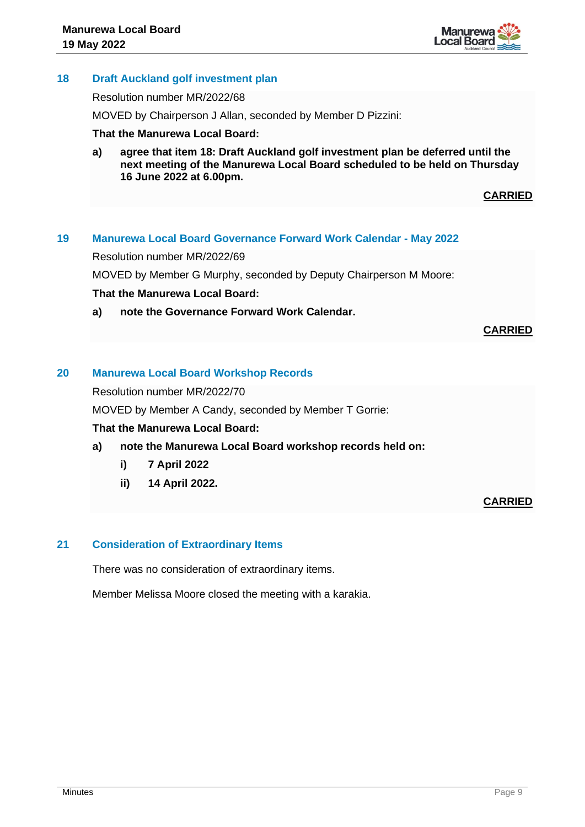

# **18 Draft Auckland golf investment plan**

#### Resolution number MR/2022/68

MOVED by Chairperson J Allan, seconded by Member D Pizzini:

#### **That the Manurewa Local Board:**

**a) agree that item 18: Draft Auckland golf investment plan be deferred until the next meeting of the Manurewa Local Board scheduled to be held on Thursday 16 June 2022 at 6.00pm.**

**CARRIED**

## **19 Manurewa Local Board Governance Forward Work Calendar - May 2022**

Resolution number MR/2022/69

MOVED by Member G Murphy, seconded by Deputy Chairperson M Moore:

#### **That the Manurewa Local Board:**

**a) note the Governance Forward Work Calendar.**

**CARRIED**

# **20 Manurewa Local Board Workshop Records**

Resolution number MR/2022/70

MOVED by Member A Candy, seconded by Member T Gorrie:

## **That the Manurewa Local Board:**

## **a) note the Manurewa Local Board workshop records held on:**

- **i) 7 April 2022**
- **ii) 14 April 2022.**

**CARRIED**

## **21 Consideration of Extraordinary Items**

There was no consideration of extraordinary items.

Member Melissa Moore closed the meeting with a karakia.